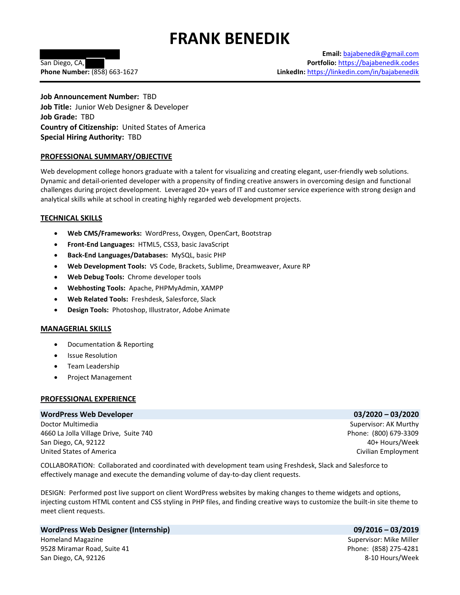# FRANK BENEDIK

Email: bajabenedik@gmail.com San Diego, CA, **Portfolio:** https://bajabenedik.codes Phone Number: (858) 663-1627 **LinkedIn:** https://linkedin.com/in/bajabenedik

Job Announcement Number: TBD Job Title: Junior Web Designer & Developer Job Grade: TBD Country of Citizenship: United States of America Special Hiring Authority: TBD

# PROFESSIONAL SUMMARY/OBJECTIVE

Web development college honors graduate with a talent for visualizing and creating elegant, user-friendly web solutions. Dynamic and detail-oriented developer with a propensity of finding creative answers in overcoming design and functional challenges during project development. Leveraged 20+ years of IT and customer service experience with strong design and analytical skills while at school in creating highly regarded web development projects.

# TECHNICAL SKILLS

- Web CMS/Frameworks: WordPress, Oxygen, OpenCart, Bootstrap
- Front-End Languages: HTML5, CSS3, basic JavaScript
- Back-End Languages/Databases: MySQL, basic PHP
- Web Development Tools: VS Code, Brackets, Sublime, Dreamweaver, Axure RP
- Web Debug Tools: Chrome developer tools
- Webhosting Tools: Apache, PHPMyAdmin, XAMPP
- Web Related Tools: Freshdesk, Salesforce, Slack
- Design Tools: Photoshop, Illustrator, Adobe Animate

# MANAGERIAL SKILLS

- Documentation & Reporting
- Issue Resolution
- Team Leadership
- Project Management

# PROFESSIONAL EXPERIENCE

# WordPress Web Developer 03/2020 – 03/2020

Doctor Multimedia Supervisor: AK Murthy Number of Supervisor: AK Murthy Supervisor: AK Murthy 4660 La Jolla Village Drive, Suite 740 Phone: (800) 679-3309 San Diego, CA, 92122 40+ Hours/Week United States of America Civilian Employment Civilian Employment

COLLABORATION: Collaborated and coordinated with development team using Freshdesk, Slack and Salesforce to effectively manage and execute the demanding volume of day-to-day client requests.

DESIGN: Performed post live support on client WordPress websites by making changes to theme widgets and options, injecting custom HTML content and CSS styling in PHP files, and finding creative ways to customize the built-in site theme to meet client requests.

# WordPress Web Designer (Internship) 09/2016 – 03/2019

Homeland Magazine Supervisor: Mike Miller 9528 Miramar Road, Suite 41 Phone: (858) 275-4281 San Diego, CA, 92126 8-10 Hours/Week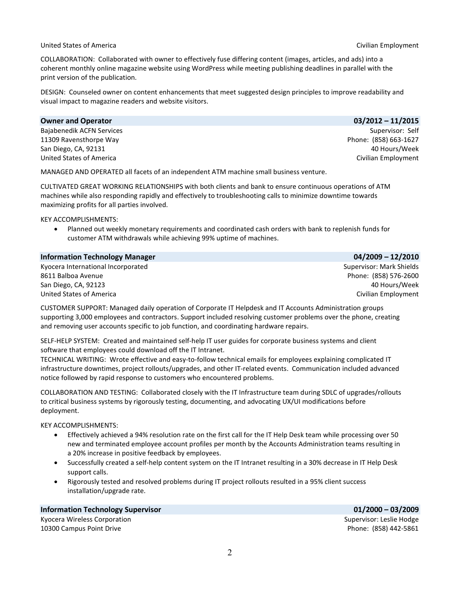### United States of America Civilian Employment Civilian Employment

COLLABORATION: Collaborated with owner to effectively fuse differing content (images, articles, and ads) into a coherent monthly online magazine website using WordPress while meeting publishing deadlines in parallel with the print version of the publication.

DESIGN: Counseled owner on content enhancements that meet suggested design principles to improve readability and visual impact to magazine readers and website visitors.

| <b>Owner and Operator</b> | $03/2012 - 11/2015$   |
|---------------------------|-----------------------|
| Bajabenedik ACFN Services | Supervisor: Self      |
| 11309 Ravensthorpe Way    | Phone: (858) 663-1627 |
| San Diego, CA, 92131      | 40 Hours/Week         |
| United States of America  | Civilian Employment   |

MANAGED AND OPERATED all facets of an independent ATM machine small business venture.

CULTIVATED GREAT WORKING RELATIONSHIPS with both clients and bank to ensure continuous operations of ATM machines while also responding rapidly and effectively to troubleshooting calls to minimize downtime towards maximizing profits for all parties involved.

KEY ACCOMPLISHMENTS:

 Planned out weekly monetary requirements and coordinated cash orders with bank to replenish funds for customer ATM withdrawals while achieving 99% uptime of machines.

| <b>Information Technology Manager</b> | $04/2009 - 12/2010$      |
|---------------------------------------|--------------------------|
| Kyocera International Incorporated    | Supervisor: Mark Shields |
| 8611 Balboa Avenue                    | Phone: (858) 576-2600    |
| San Diego, CA, 92123                  | 40 Hours/Week            |
| United States of America              | Civilian Employment      |

CUSTOMER SUPPORT: Managed daily operation of Corporate IT Helpdesk and IT Accounts Administration groups supporting 3,000 employees and contractors. Support included resolving customer problems over the phone, creating and removing user accounts specific to job function, and coordinating hardware repairs.

SELF-HELP SYSTEM: Created and maintained self-help IT user guides for corporate business systems and client software that employees could download off the IT Intranet.

TECHNICAL WRITING: Wrote effective and easy-to-follow technical emails for employees explaining complicated IT infrastructure downtimes, project rollouts/upgrades, and other IT-related events. Communication included advanced notice followed by rapid response to customers who encountered problems.

COLLABORATION AND TESTING: Collaborated closely with the IT Infrastructure team during SDLC of upgrades/rollouts to critical business systems by rigorously testing, documenting, and advocating UX/UI modifications before deployment.

KEY ACCOMPLISHMENTS:

- Effectively achieved a 94% resolution rate on the first call for the IT Help Desk team while processing over 50 new and terminated employee account profiles per month by the Accounts Administration teams resulting in a 20% increase in positive feedback by employees.
- Successfully created a self-help content system on the IT Intranet resulting in a 30% decrease in IT Help Desk support calls.
- Rigorously tested and resolved problems during IT project rollouts resulted in a 95% client success installation/upgrade rate.

Information Technology Supervisor 01/2000 – 03/2009 Kyocera Wireless Corporation Supervisor: Leslie Hodge Supervisor: Leslie Hodge Supervisor: Leslie Hodge 10300 Campus Point Drive Phone: (858) 442-5861